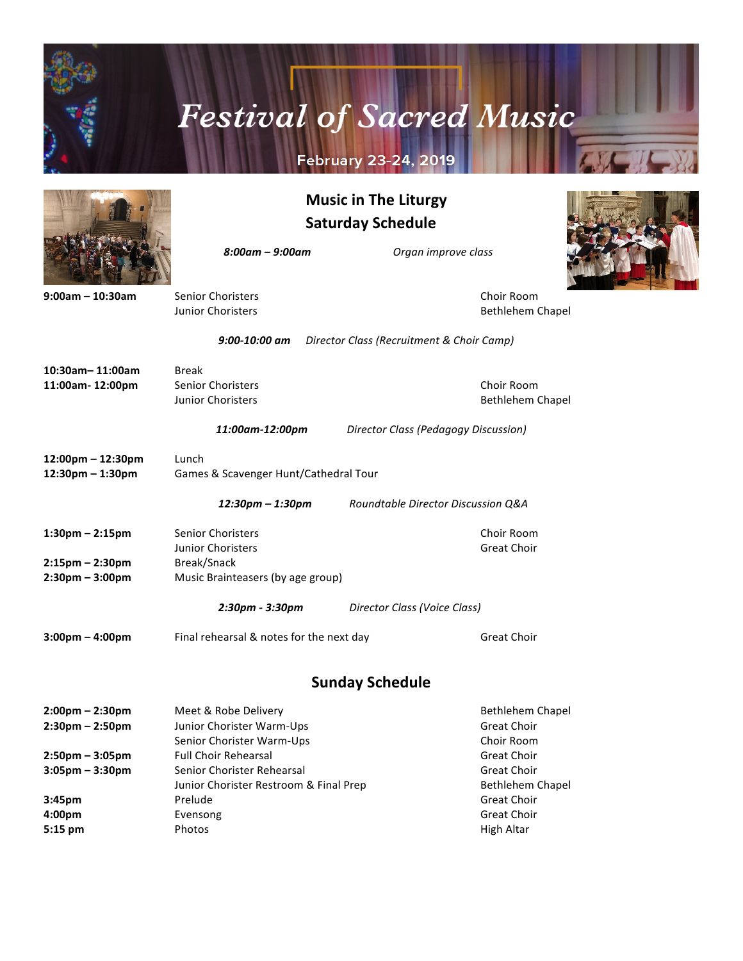

# **Festival of Sacred Music**

### **February 23-24, 2019**